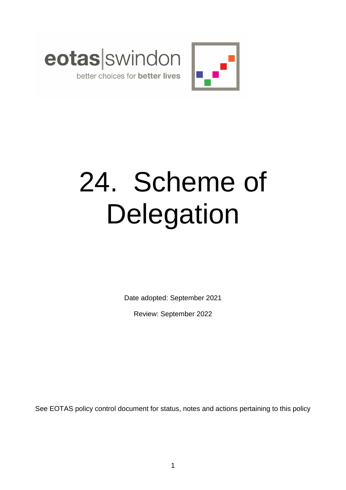



# 24. Scheme of **Delegation**

Date adopted: September 2021

Review: September 2022

See EOTAS policy control document for status, notes and actions pertaining to this policy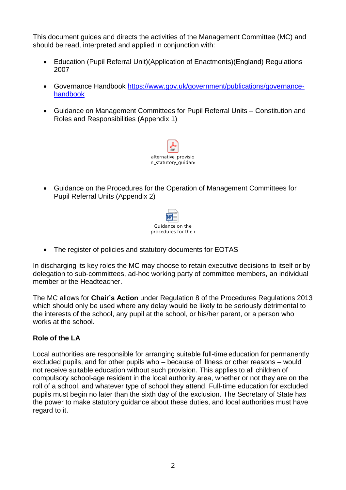This document guides and directs the activities of the Management Committee (MC) and should be read, interpreted and applied in conjunction with:

- Education (Pupil Referral Unit)(Application of Enactments)(England) Regulations 2007
- Governance Handbook [https://www.gov.uk/government/publications/governance](https://www.gov.uk/government/publications/governance-handbook)[handbook](https://www.gov.uk/government/publications/governance-handbook)
- Guidance on Management Committees for Pupil Referral Units Constitution and Roles and Responsibilities (Appendix 1)



 Guidance on the Procedures for the Operation of Management Committees for Pupil Referral Units (Appendix 2)



• The register of policies and statutory documents for EOTAS

In discharging its key roles the MC may choose to retain executive decisions to itself or by delegation to sub-committees, ad-hoc working party of committee members, an individual member or the Headteacher.

The MC allows for **Chair's Action** under Regulation 8 of the Procedures Regulations 2013 which should only be used where any delay would be likely to be seriously detrimental to the interests of the school, any pupil at the school, or his/her parent, or a person who works at the school.

# **Role of the LA**

Local authorities are responsible for arranging suitable full-time education for permanently excluded pupils, and for other pupils who – because of illness or other reasons – would not receive suitable education without such provision. This applies to all children of compulsory school-age resident in the local authority area, whether or not they are on the roll of a school, and whatever type of school they attend. Full-time education for excluded pupils must begin no later than the sixth day of the exclusion. The Secretary of State has the power to make statutory guidance about these duties, and local authorities must have regard to it.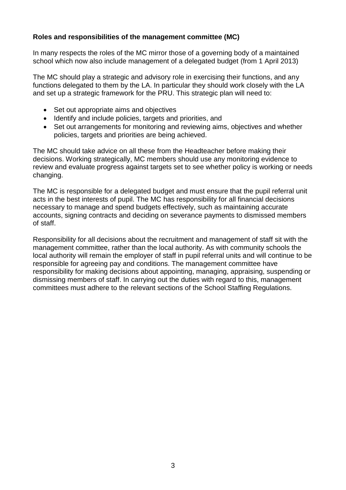# **Roles and responsibilities of the management committee (MC)**

In many respects the roles of the MC mirror those of a governing body of a maintained school which now also include management of a delegated budget (from 1 April 2013)

The MC should play a strategic and advisory role in exercising their functions, and any functions delegated to them by the LA. In particular they should work closely with the LA and set up a strategic framework for the PRU. This strategic plan will need to:

- Set out appropriate aims and objectives
- Identify and include policies, targets and priorities, and
- Set out arrangements for monitoring and reviewing aims, objectives and whether policies, targets and priorities are being achieved.

The MC should take advice on all these from the Headteacher before making their decisions. Working strategically, MC members should use any monitoring evidence to review and evaluate progress against targets set to see whether policy is working or needs changing.

The MC is responsible for a delegated budget and must ensure that the pupil referral unit acts in the best interests of pupil. The MC has responsibility for all financial decisions necessary to manage and spend budgets effectively, such as maintaining accurate accounts, signing contracts and deciding on severance payments to dismissed members of staff.

Responsibility for all decisions about the recruitment and management of staff sit with the management committee, rather than the local authority. As with community schools the local authority will remain the employer of staff in pupil referral units and will continue to be responsible for agreeing pay and conditions. The management committee have responsibility for making decisions about appointing, managing, appraising, suspending or dismissing members of staff. In carrying out the duties with regard to this, management committees must adhere to the relevant sections of the School Staffing Regulations.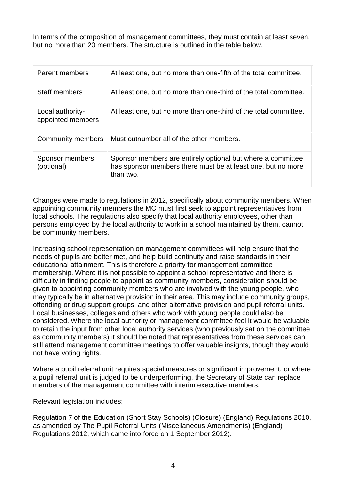In terms of the composition of management committees, they must contain at least seven, but no more than 20 members. The structure is outlined in the table below.

| Parent members                        | At least one, but no more than one-fifth of the total committee.                                                                        |
|---------------------------------------|-----------------------------------------------------------------------------------------------------------------------------------------|
| <b>Staff members</b>                  | At least one, but no more than one-third of the total committee.                                                                        |
| Local authority-<br>appointed members | At least one, but no more than one-third of the total committee.                                                                        |
| Community members                     | Must outnumber all of the other members.                                                                                                |
| Sponsor members<br>(optional)         | Sponsor members are entirely optional but where a committee<br>has sponsor members there must be at least one, but no more<br>than two. |

Changes were made to regulations in 2012, specifically about community members. When appointing community members the MC must first seek to appoint representatives from local schools. The regulations also specify that local authority employees, other than persons employed by the local authority to work in a school maintained by them, cannot be community members.

Increasing school representation on management committees will help ensure that the needs of pupils are better met, and help build continuity and raise standards in their educational attainment. This is therefore a priority for management committee membership. Where it is not possible to appoint a school representative and there is difficulty in finding people to appoint as community members, consideration should be given to appointing community members who are involved with the young people, who may typically be in alternative provision in their area. This may include community groups, offending or drug support groups, and other alternative provision and pupil referral units. Local businesses, colleges and others who work with young people could also be considered. Where the local authority or management committee feel it would be valuable to retain the input from other local authority services (who previously sat on the committee as community members) it should be noted that representatives from these services can still attend management committee meetings to offer valuable insights, though they would not have voting rights.

Where a pupil referral unit requires special measures or significant improvement, or where a pupil referral unit is judged to be underperforming, the Secretary of State can replace members of the management committee with interim executive members.

Relevant legislation includes:

Regulation 7 of the Education (Short Stay Schools) (Closure) (England) Regulations 2010, as amended by The Pupil Referral Units (Miscellaneous Amendments) (England) Regulations 2012, which came into force on 1 September 2012).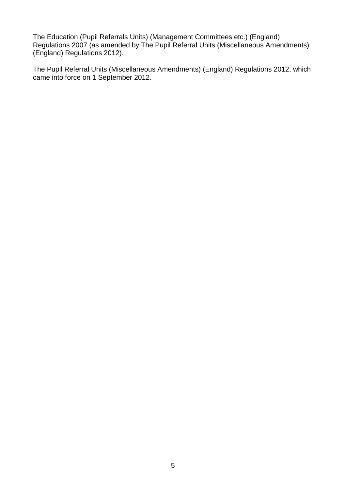The Education (Pupil Referrals Units) (Management Committees etc.) (England) Regulations 2007 (as amended by The Pupil Referral Units (Miscellaneous Amendments) (England) Regulations 2012).

The Pupil Referral Units (Miscellaneous Amendments) (England) Regulations 2012, which came into force on 1 September 2012.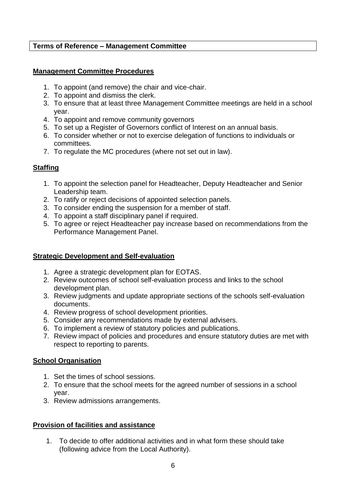### **Terms of Reference – Management Committee**

#### **Management Committee Procedures**

- 1. To appoint (and remove) the chair and vice-chair.
- 2. To appoint and dismiss the clerk.
- 3. To ensure that at least three Management Committee meetings are held in a school year.
- 4. To appoint and remove community governors
- 5. To set up a Register of Governors conflict of Interest on an annual basis.
- 6. To consider whether or not to exercise delegation of functions to individuals or committees.
- 7. To regulate the MC procedures (where not set out in law).

# **Staffing**

- 1. To appoint the selection panel for Headteacher, Deputy Headteacher and Senior Leadership team.
- 2. To ratify or reject decisions of appointed selection panels.
- 3. To consider ending the suspension for a member of staff.
- 4. To appoint a staff disciplinary panel if required.
- 5. To agree or reject Headteacher pay increase based on recommendations from the Performance Management Panel.

# **Strategic Development and Self-evaluation**

- 1. Agree a strategic development plan for EOTAS.
- 2. Review outcomes of school self-evaluation process and links to the school development plan.
- 3. Review judgments and update appropriate sections of the schools self-evaluation documents.
- 4. Review progress of school development priorities.
- 5. Consider any recommendations made by external advisers.
- 6. To implement a review of statutory policies and publications.
- 7. Review impact of policies and procedures and ensure statutory duties are met with respect to reporting to parents.

# **School Organisation**

- 1. Set the times of school sessions.
- 2. To ensure that the school meets for the agreed number of sessions in a school year.
- 3. Review admissions arrangements.

# **Provision of facilities and assistance**

1. To decide to offer additional activities and in what form these should take (following advice from the Local Authority).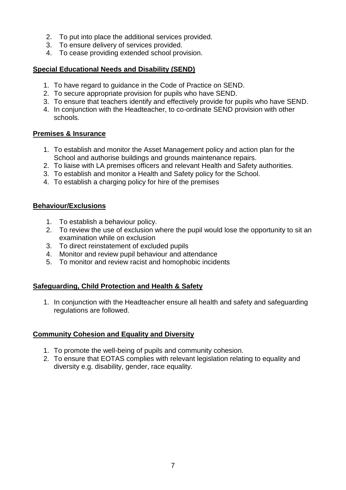- 2. To put into place the additional services provided.
- 3. To ensure delivery of services provided.
- 4. To cease providing extended school provision.

# **Special Educational Needs and Disability (SEND)**

- 1. To have regard to guidance in the Code of Practice on SEND.
- 2. To secure appropriate provision for pupils who have SEND.
- 3. To ensure that teachers identify and effectively provide for pupils who have SEND.
- 4. In conjunction with the Headteacher, to co-ordinate SEND provision with other schools.

# **Premises & Insurance**

- 1. To establish and monitor the Asset Management policy and action plan for the School and authorise buildings and grounds maintenance repairs.
- 2. To liaise with LA premises officers and relevant Health and Safety authorities.
- 3. To establish and monitor a Health and Safety policy for the School.
- 4. To establish a charging policy for hire of the premises

# **Behaviour/Exclusions**

- 1. To establish a behaviour policy.
- 2. To review the use of exclusion where the pupil would lose the opportunity to sit an examination while on exclusion
- 3. To direct reinstatement of excluded pupils
- 4. Monitor and review pupil behaviour and attendance
- 5. To monitor and review racist and homophobic incidents

# **Safeguarding, Child Protection and Health & Safety**

1. In conjunction with the Headteacher ensure all health and safety and safeguarding regulations are followed.

# **Community Cohesion and Equality and Diversity**

- 1. To promote the well-being of pupils and community cohesion.
- 2. To ensure that EOTAS complies with relevant legislation relating to equality and diversity e.g. disability, gender, race equality.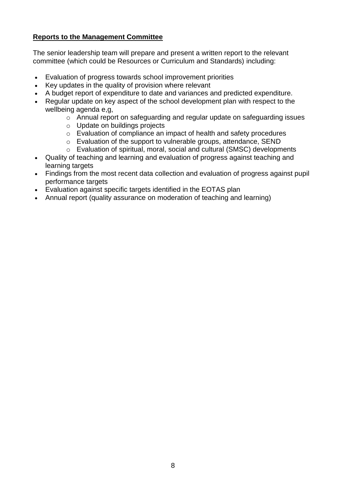# **Reports to the Management Committee**

The senior leadership team will prepare and present a written report to the relevant committee (which could be Resources or Curriculum and Standards) including:

- Evaluation of progress towards school improvement priorities
- Key updates in the quality of provision where relevant
- A budget report of expenditure to date and variances and predicted expenditure.
- Regular update on key aspect of the school development plan with respect to the wellbeing agenda e,g,
	- o Annual report on safeguarding and regular update on safeguarding issues
	- o Update on buildings projects
	- o Evaluation of compliance an impact of health and safety procedures
	- o Evaluation of the support to vulnerable groups, attendance, SEND
	- o Evaluation of spiritual, moral, social and cultural (SMSC) developments
- Quality of teaching and learning and evaluation of progress against teaching and learning targets
- Findings from the most recent data collection and evaluation of progress against pupil performance targets
- Evaluation against specific targets identified in the EOTAS plan
- Annual report (quality assurance on moderation of teaching and learning)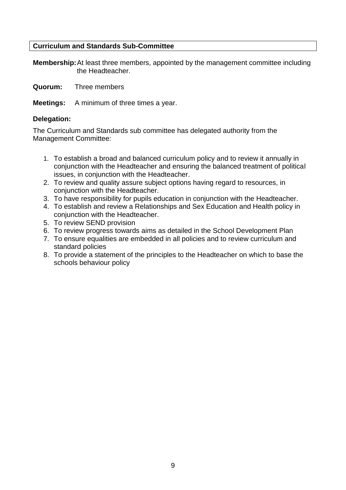#### **Curriculum and Standards Sub-Committee**

**Membership:**At least three members, appointed by the management committee including the Headteacher.

**Quorum:** Three members

**Meetings:** A minimum of three times a year.

#### **Delegation:**

The Curriculum and Standards sub committee has delegated authority from the Management Committee:

- 1. To establish a broad and balanced curriculum policy and to review it annually in conjunction with the Headteacher and ensuring the balanced treatment of political issues, in conjunction with the Headteacher.
- 2. To review and quality assure subject options having regard to resources, in conjunction with the Headteacher.
- 3. To have responsibility for pupils education in conjunction with the Headteacher.
- 4. To establish and review a Relationships and Sex Education and Health policy in conjunction with the Headteacher.
- 5. To review SEND provision
- 6. To review progress towards aims as detailed in the School Development Plan
- 7. To ensure equalities are embedded in all policies and to review curriculum and standard policies
- 8. To provide a statement of the principles to the Headteacher on which to base the schools behaviour policy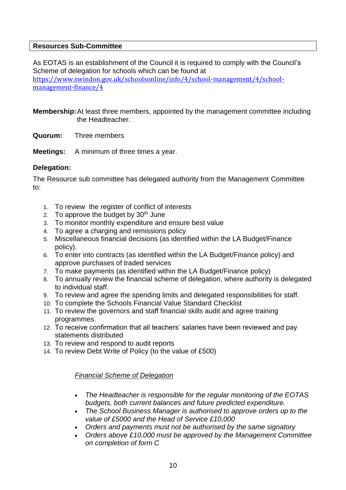#### **Resources Sub-Committee**

As EOTAS is an establishment of the Council it is required to comply with the Council's Scheme of delegation for schools which can be found at [https://www.swindon.gov.uk/schoolsonline/info/4/school-management/4/school](https://www.swindon.gov.uk/schoolsonline/info/4/school-management/4/school-management-finance/4)[management-finance/4](https://www.swindon.gov.uk/schoolsonline/info/4/school-management/4/school-management-finance/4)

**Membership:**At least three members, appointed by the management committee including the Headteacher.

**Quorum:** Three members

**Meetings:** A minimum of three times a year.

# **Delegation:**

The Resource sub committee has delegated authority from the Management Committee to:

- 1. To review the register of conflict of interests
- 2. To approve the budget by  $30<sup>th</sup>$  June
- 3. To monitor monthly expenditure and ensure best value
- 4. To agree a charging and remissions policy
- 5. Miscellaneous financial decisions (as identified within the LA Budget/Finance policy).
- 6. To enter into contracts (as identified within the LA Budget/Finance policy) and approve purchases of traded services
- 7. To make payments (as identified within the LA Budget/Finance policy)
- 8. To annually review the financial scheme of delegation, where authority is delegated to individual staff.
- 9. To review and agree the spending limits and delegated responsibilities for staff.
- 10. To complete the Schools Financial Value Standard Checklist
- 11. To review the governors and staff financial skills audit and agree training programmes.
- 12. To receive confirmation that all teachers' salaries have been reviewed and pay statements distributed
- 13. To review and respond to audit reports
- 14. To review Debt Write of Policy (to the value of £500)

#### *Financial Scheme of Delegation*

- *The Headteacher is responsible for the regular monitoring of the EOTAS budgets, both current balances and future predicted expenditure.*
- *The School Business Manager is authorised to approve orders up to the value of £5000 and the Head of Service £10,000*
- *Orders and payments must not be authorised by the same signatory*
- *Orders above £10,000 must be approved by the Management Committee on completion of form C*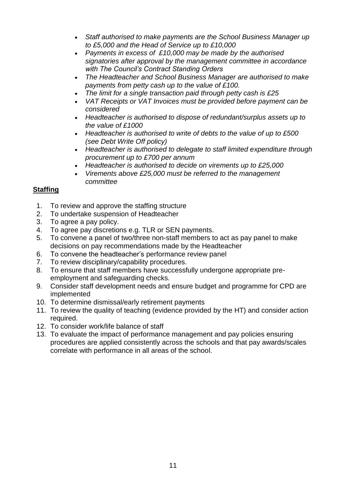- *Staff authorised to make payments are the School Business Manager up to £5,000 and the Head of Service up to £10,000*
- *Payments in excess of £10,000 may be made by the authorised signatories after approval by the management committee in accordance with The Council's Contract Standing Orders*
- *The Headteacher and School Business Manager are authorised to make payments from petty cash up to the value of £100.*
- *The limit for a single transaction paid through petty cash is £25*
- *VAT Receipts or VAT Invoices must be provided before payment can be considered*
- *Headteacher is authorised to dispose of redundant/surplus assets up to the value of £1000*
- *Headteacher is authorised to write of debts to the value of up to £500 (see Debt Write Off policy)*
- *Headteacher is authorised to delegate to staff limited expenditure through procurement up to £700 per annum*
- *Headteacher is authorised to decide on virements up to £25,000*
- *Virements above £25,000 must be referred to the management committee*

# **Staffing**

- 1. To review and approve the staffing structure
- 2. To undertake suspension of Headteacher
- 3. To agree a pay policy.
- 4. To agree pay discretions e.g. TLR or SEN payments.
- 5. To convene a panel of two/three non-staff members to act as pay panel to make decisions on pay recommendations made by the Headteacher
- 6. To convene the headteacher's performance review panel
- 7. To review disciplinary/capability procedures.
- 8. To ensure that staff members have successfully undergone appropriate preemployment and safeguarding checks.
- 9. Consider staff development needs and ensure budget and programme for CPD are implemented
- 10. To determine dismissal/early retirement payments
- 11. To review the quality of teaching (evidence provided by the HT) and consider action required.
- 12. To consider work/life balance of staff
- 13. To evaluate the impact of performance management and pay policies ensuring procedures are applied consistently across the schools and that pay awards/scales correlate with performance in all areas of the school.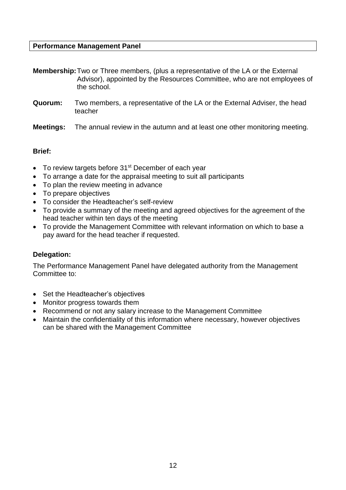#### **Performance Management Panel**

**Membership:**Two or Three members, (plus a representative of the LA or the External Advisor), appointed by the Resources Committee, who are not employees of the school.

- **Quorum:** Two members, a representative of the LA or the External Adviser, the head teacher
- **Meetings:** The annual review in the autumn and at least one other monitoring meeting.

#### **Brief:**

- To review targets before 31<sup>st</sup> December of each year
- To arrange a date for the appraisal meeting to suit all participants
- To plan the review meeting in advance
- To prepare objectives
- To consider the Headteacher's self-review
- To provide a summary of the meeting and agreed objectives for the agreement of the head teacher within ten days of the meeting
- To provide the Management Committee with relevant information on which to base a pay award for the head teacher if requested.

#### **Delegation:**

The Performance Management Panel have delegated authority from the Management Committee to:

- Set the Headteacher's objectives
- Monitor progress towards them
- Recommend or not any salary increase to the Management Committee
- Maintain the confidentiality of this information where necessary, however objectives can be shared with the Management Committee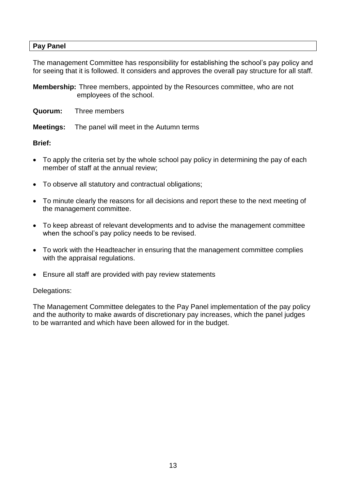#### **Pay Panel**

The management Committee has responsibility for establishing the school's pay policy and for seeing that it is followed. It considers and approves the overall pay structure for all staff.

**Membership:** Three members, appointed by the Resources committee, who are not employees of the school.

- **Quorum:** Three members
- **Meetings:** The panel will meet in the Autumn terms

#### **Brief:**

- To apply the criteria set by the whole school pay policy in determining the pay of each member of staff at the annual review;
- To observe all statutory and contractual obligations;
- To minute clearly the reasons for all decisions and report these to the next meeting of the management committee.
- To keep abreast of relevant developments and to advise the management committee when the school's pay policy needs to be revised.
- To work with the Headteacher in ensuring that the management committee complies with the appraisal regulations.
- Ensure all staff are provided with pay review statements

#### Delegations:

The Management Committee delegates to the Pay Panel implementation of the pay policy and the authority to make awards of discretionary pay increases, which the panel judges to be warranted and which have been allowed for in the budget.